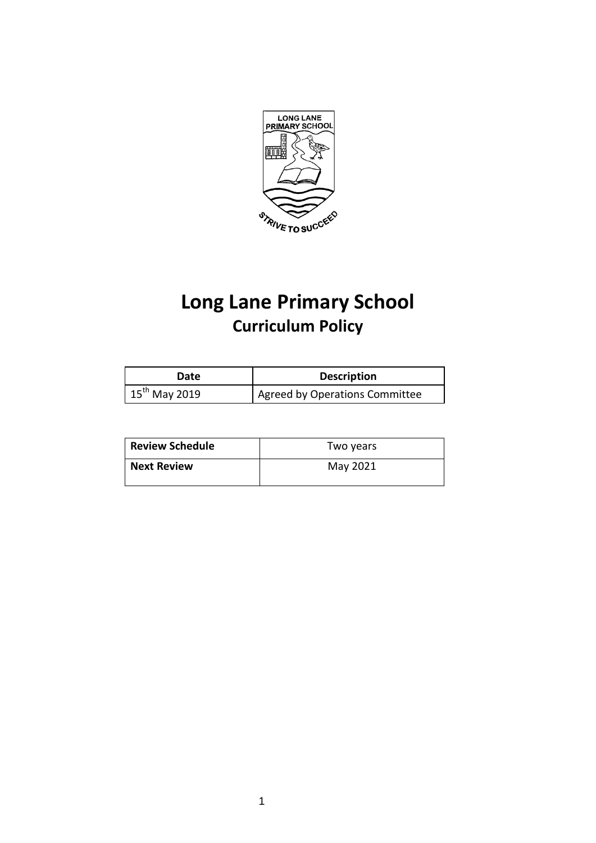

# **Long Lane Primary School Curriculum Policy**

| Date                      | <b>Description</b>             |
|---------------------------|--------------------------------|
| $15^{\text{th}}$ May 2019 | Agreed by Operations Committee |

| <b>Review Schedule</b> | Two years |
|------------------------|-----------|
| <b>Next Review</b>     | May 2021  |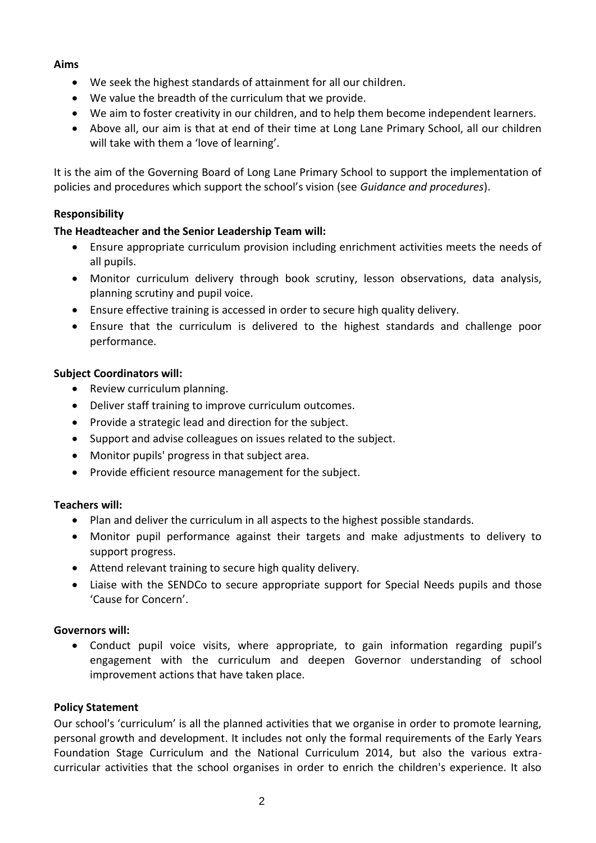### **Aims**

- We seek the highest standards of attainment for all our children.
- We value the breadth of the curriculum that we provide.
- We aim to foster creativity in our children, and to help them become independent learners.
- Above all, our aim is that at end of their time at Long Lane Primary School, all our children will take with them a 'love of learning'.

It is the aim of the Governing Board of Long Lane Primary School to support the implementation of policies and procedures which support the school's vision (see *Guidance and procedures*).

# **Responsibility**

# **The Headteacher and the Senior Leadership Team will:**

- Ensure appropriate curriculum provision including enrichment activities meets the needs of all pupils.
- Monitor curriculum delivery through book scrutiny, lesson observations, data analysis, planning scrutiny and pupil voice.
- Ensure effective training is accessed in order to secure high quality delivery.
- Ensure that the curriculum is delivered to the highest standards and challenge poor performance.

### **Subject Coordinators will:**

- Review curriculum planning.
- Deliver staff training to improve curriculum outcomes.
- Provide a strategic lead and direction for the subject.
- Support and advise colleagues on issues related to the subject.
- Monitor pupils' progress in that subject area.
- Provide efficient resource management for the subject.

### **Teachers will:**

- Plan and deliver the curriculum in all aspects to the highest possible standards.
- Monitor pupil performance against their targets and make adjustments to delivery to support progress.
- Attend relevant training to secure high quality delivery.
- Liaise with the SENDCo to secure appropriate support for Special Needs pupils and those 'Cause for Concern'.

### **Governors will:**

 Conduct pupil voice visits, where appropriate, to gain information regarding pupil's engagement with the curriculum and deepen Governor understanding of school improvement actions that have taken place.

### **Policy Statement**

Our school's 'curriculum' is all the planned activities that we organise in order to promote learning, personal growth and development. It includes not only the formal requirements of the Early Years Foundation Stage Curriculum and the National Curriculum 2014, but also the various extracurricular activities that the school organises in order to enrich the children's experience. It also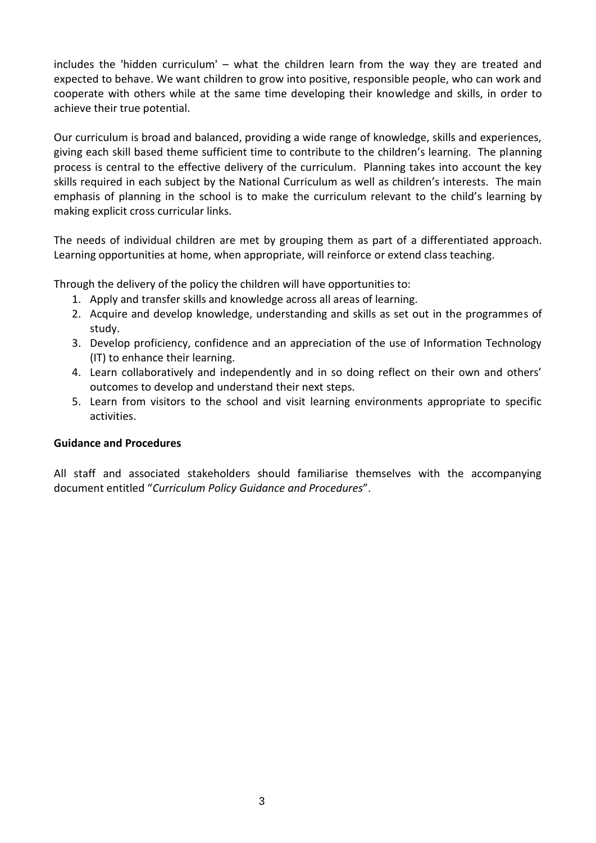includes the 'hidden curriculum' – what the children learn from the way they are treated and expected to behave. We want children to grow into positive, responsible people, who can work and cooperate with others while at the same time developing their knowledge and skills, in order to achieve their true potential.

Our curriculum is broad and balanced, providing a wide range of knowledge, skills and experiences, giving each skill based theme sufficient time to contribute to the children's learning. The planning process is central to the effective delivery of the curriculum. Planning takes into account the key skills required in each subject by the National Curriculum as well as children's interests. The main emphasis of planning in the school is to make the curriculum relevant to the child's learning by making explicit cross curricular links.

The needs of individual children are met by grouping them as part of a differentiated approach. Learning opportunities at home, when appropriate, will reinforce or extend class teaching.

Through the delivery of the policy the children will have opportunities to:

- 1. Apply and transfer skills and knowledge across all areas of learning.
- 2. Acquire and develop knowledge, understanding and skills as set out in the programmes of study.
- 3. Develop proficiency, confidence and an appreciation of the use of Information Technology (IT) to enhance their learning.
- 4. Learn collaboratively and independently and in so doing reflect on their own and others' outcomes to develop and understand their next steps.
- 5. Learn from visitors to the school and visit learning environments appropriate to specific activities.

### **Guidance and Procedures**

All staff and associated stakeholders should familiarise themselves with the accompanying document entitled "*Curriculum Policy Guidance and Procedures*".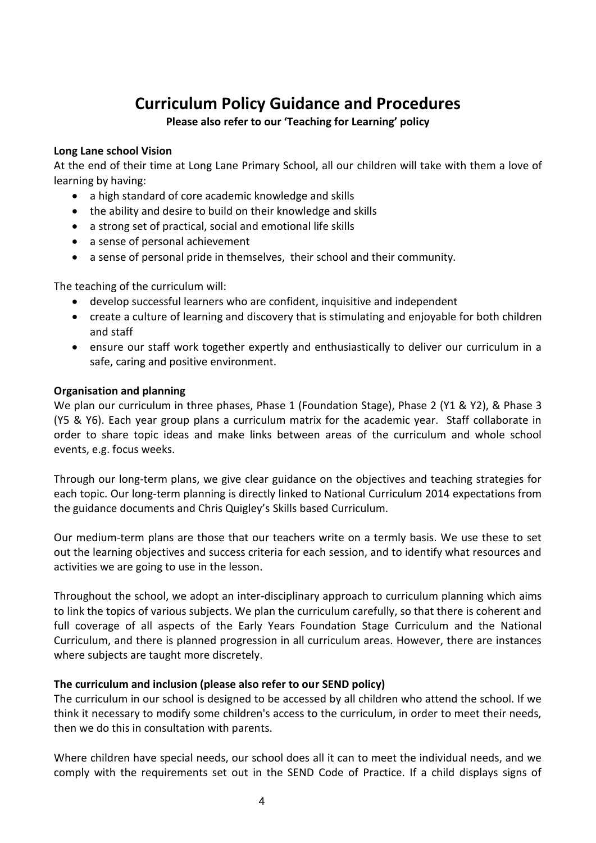# **Curriculum Policy Guidance and Procedures**

### **Please also refer to our 'Teaching for Learning' policy**

### **Long Lane school Vision**

At the end of their time at Long Lane Primary School, all our children will take with them a love of learning by having:

- a high standard of core academic knowledge and skills
- the ability and desire to build on their knowledge and skills
- a strong set of practical, social and emotional life skills
- a sense of personal achievement
- a sense of personal pride in themselves, their school and their community.

The teaching of the curriculum will:

- develop successful learners who are confident, inquisitive and independent
- create a culture of learning and discovery that is stimulating and enjoyable for both children and staff
- ensure our staff work together expertly and enthusiastically to deliver our curriculum in a safe, caring and positive environment.

### **Organisation and planning**

We plan our curriculum in three phases, Phase 1 (Foundation Stage), Phase 2 (Y1 & Y2), & Phase 3 (Y5 & Y6). Each year group plans a curriculum matrix for the academic year. Staff collaborate in order to share topic ideas and make links between areas of the curriculum and whole school events, e.g. focus weeks.

Through our long-term plans, we give clear guidance on the objectives and teaching strategies for each topic. Our long-term planning is directly linked to National Curriculum 2014 expectations from the guidance documents and Chris Quigley's Skills based Curriculum.

Our medium-term plans are those that our teachers write on a termly basis. We use these to set out the learning objectives and success criteria for each session, and to identify what resources and activities we are going to use in the lesson.

Throughout the school, we adopt an inter-disciplinary approach to curriculum planning which aims to link the topics of various subjects. We plan the curriculum carefully, so that there is coherent and full coverage of all aspects of the Early Years Foundation Stage Curriculum and the National Curriculum, and there is planned progression in all curriculum areas. However, there are instances where subjects are taught more discretely.

### **The curriculum and inclusion (please also refer to our SEND policy)**

The curriculum in our school is designed to be accessed by all children who attend the school. If we think it necessary to modify some children's access to the curriculum, in order to meet their needs, then we do this in consultation with parents.

Where children have special needs, our school does all it can to meet the individual needs, and we comply with the requirements set out in the SEND Code of Practice. If a child displays signs of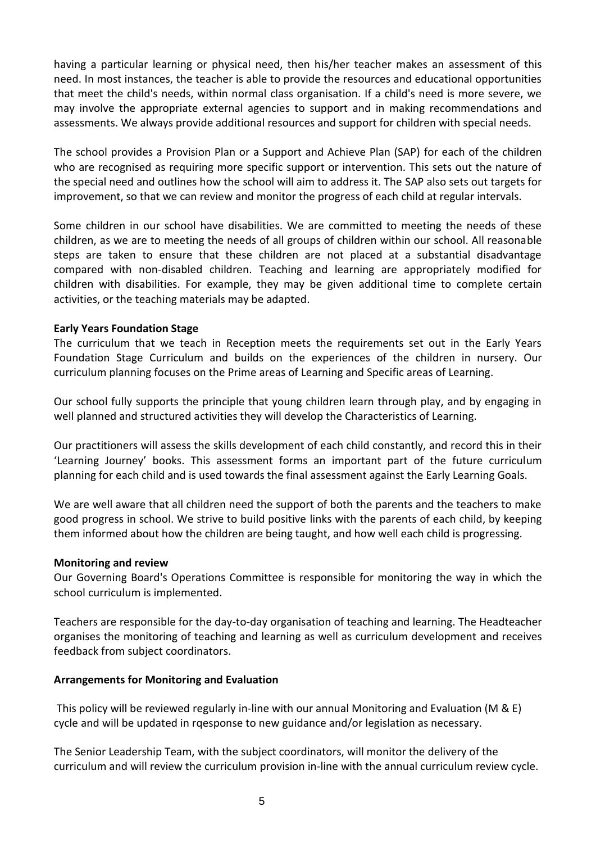having a particular learning or physical need, then his/her teacher makes an assessment of this need. In most instances, the teacher is able to provide the resources and educational opportunities that meet the child's needs, within normal class organisation. If a child's need is more severe, we may involve the appropriate external agencies to support and in making recommendations and assessments. We always provide additional resources and support for children with special needs.

The school provides a Provision Plan or a Support and Achieve Plan (SAP) for each of the children who are recognised as requiring more specific support or intervention. This sets out the nature of the special need and outlines how the school will aim to address it. The SAP also sets out targets for improvement, so that we can review and monitor the progress of each child at regular intervals.

Some children in our school have disabilities. We are committed to meeting the needs of these children, as we are to meeting the needs of all groups of children within our school. All reasonable steps are taken to ensure that these children are not placed at a substantial disadvantage compared with non-disabled children. Teaching and learning are appropriately modified for children with disabilities. For example, they may be given additional time to complete certain activities, or the teaching materials may be adapted.

### **Early Years Foundation Stage**

The curriculum that we teach in Reception meets the requirements set out in the Early Years Foundation Stage Curriculum and builds on the experiences of the children in nursery. Our curriculum planning focuses on the Prime areas of Learning and Specific areas of Learning.

Our school fully supports the principle that young children learn through play, and by engaging in well planned and structured activities they will develop the Characteristics of Learning.

Our practitioners will assess the skills development of each child constantly, and record this in their 'Learning Journey' books. This assessment forms an important part of the future curriculum planning for each child and is used towards the final assessment against the Early Learning Goals.

We are well aware that all children need the support of both the parents and the teachers to make good progress in school. We strive to build positive links with the parents of each child, by keeping them informed about how the children are being taught, and how well each child is progressing.

### **Monitoring and review**

Our Governing Board's Operations Committee is responsible for monitoring the way in which the school curriculum is implemented.

Teachers are responsible for the day-to-day organisation of teaching and learning. The Headteacher organises the monitoring of teaching and learning as well as curriculum development and receives feedback from subject coordinators.

### **Arrangements for Monitoring and Evaluation**

This policy will be reviewed regularly in-line with our annual Monitoring and Evaluation (M & E) cycle and will be updated in rqesponse to new guidance and/or legislation as necessary.

The Senior Leadership Team, with the subject coordinators, will monitor the delivery of the curriculum and will review the curriculum provision in-line with the annual curriculum review cycle.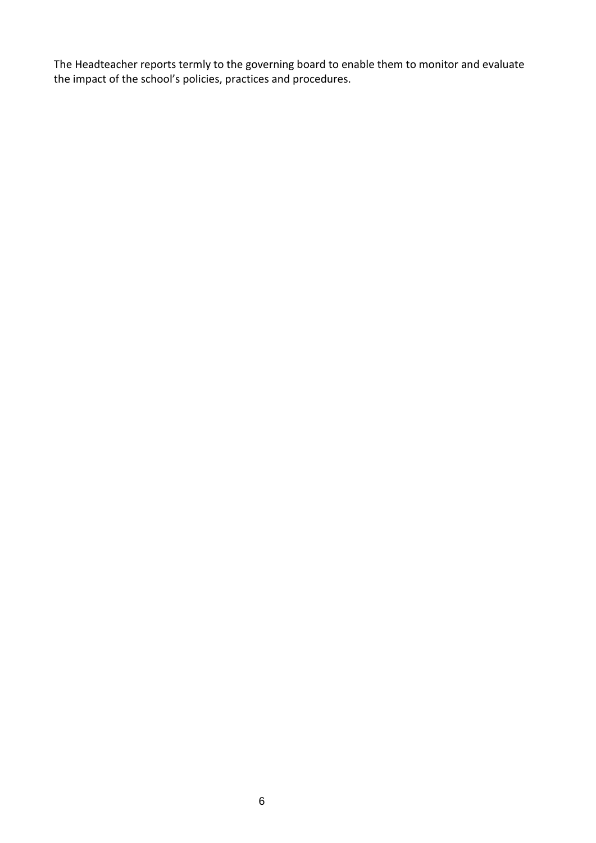The Headteacher reports termly to the governing board to enable them to monitor and evaluate the impact of the school's policies, practices and procedures.